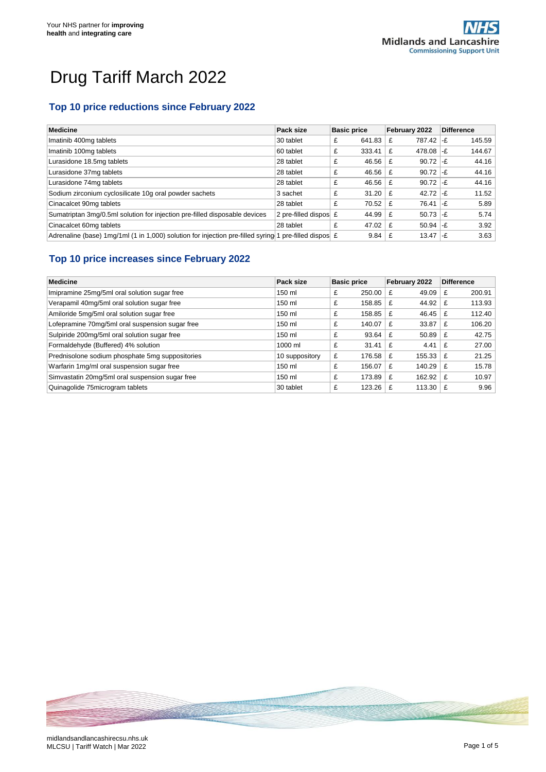# Drug Tariff March 2022

## **Top 10 price reductions since February 2022**

| Medicine                                                                                                       | Pack size                | <b>Basic price</b> | February 2022    | <b>Difference</b> |
|----------------------------------------------------------------------------------------------------------------|--------------------------|--------------------|------------------|-------------------|
| Imatinib 400mg tablets                                                                                         | 30 tablet                | 641.83<br>£        | 787.42 -£<br>£   | 145.59            |
| Imatinib 100mg tablets                                                                                         | 60 tablet                | 333.41<br>£        | 478.08 $-E$<br>£ | 144.67            |
| Lurasidone 18.5mg tablets                                                                                      | 28 tablet                | 46.56<br>£         | $90.72$ -£<br>£  | 44.16             |
| Lurasidone 37mg tablets                                                                                        | 28 tablet                | 46.56<br>£         | $90.72$ -£<br>£  | 44.16             |
| Lurasidone 74mg tablets                                                                                        | 28 tablet                | 46.56<br>£         | $90.72$ -£<br>£  | 44.16             |
| Sodium zirconium cyclosilicate 10g oral powder sachets                                                         | 3 sachet                 | £<br>31.20         | 42.72 $-F$<br>£  | 11.52             |
| Cinacalcet 90mg tablets                                                                                        | 28 tablet                | 70.52<br>£         | 76.41<br>£       | 5.89<br>∣-£       |
| Sumatriptan 3mg/0.5ml solution for injection pre-filled disposable devices                                     | 2 pre-filled dispose $E$ | 44.99              | $50.73$ -£<br>£  | 5.74              |
| Cinacalcet 60mg tablets                                                                                        | 28 tablet                | 47.02<br>£         | $50.94$ -£<br>£  | 3.92              |
| Adrenaline (base) 1mg/1ml (1 in 1,000) solution for injection pre-filled syring 1 pre-filled dispos $\epsilon$ |                          | 9.84               | 13.47<br>£       | 3.63<br>∣-F       |

## **Top 10 price increases since February 2022**

| <b>Medicine</b>                                 | Pack size      | <b>Basic price</b> | February 2022 | <b>Difference</b> |
|-------------------------------------------------|----------------|--------------------|---------------|-------------------|
| Imipramine 25mg/5ml oral solution sugar free    | 150 ml         | 250.00<br>£        | 49.09<br>£    | 200.91<br>£       |
| Verapamil 40mg/5ml oral solution sugar free     | 150 ml         | £<br>158.85        | 44.92<br>£    | 113.93<br>£       |
| Amiloride 5mg/5ml oral solution sugar free      | 150 ml         | £<br>158.85        | 46.45<br>£    | 112.40<br>£       |
| Lofepramine 70mg/5ml oral suspension sugar free | 150 ml         | £<br>140.07        | 33.87<br>£    | 106.20<br>£       |
| Sulpiride 200mg/5ml oral solution sugar free    | 150 ml         | £<br>93.64         | 50.89<br>£    | 42.75<br>£        |
| Formaldehyde (Buffered) 4% solution             | 1000 ml        | £<br>31.41         | 4.41<br>£     | 27.00<br>£        |
| Prednisolone sodium phosphate 5mg suppositories | 10 suppository | £<br>176.58        | 155.33<br>£   | 21.25<br>£        |
| Warfarin 1mg/ml oral suspension sugar free      | 150 ml         | £<br>156.07        | 140.29<br>£   | 15.78<br>£        |
| Simvastatin 20mg/5ml oral suspension sugar free | 150 ml         | £<br>173.89        | 162.92<br>£   | 10.97<br>£        |
| Quinagolide 75 microgram tablets                | 30 tablet      | £<br>123.26        | 113.30<br>£   | 9.96<br>£         |

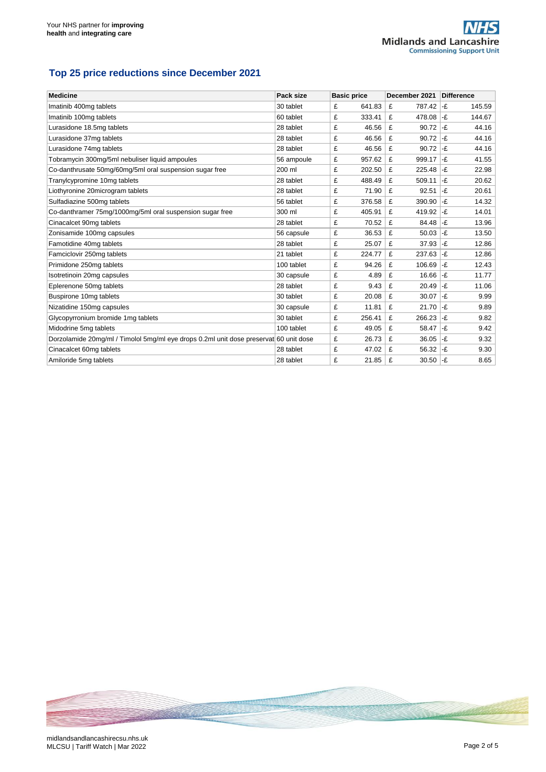## **Top 25 price reductions since December 2021**

| <b>Medicine</b>                                                                       | Pack size  | <b>Basic price</b> | December 2021 | <b>Difference</b> |
|---------------------------------------------------------------------------------------|------------|--------------------|---------------|-------------------|
| Imatinib 400mg tablets                                                                | 30 tablet  | 641.83<br>£        | 787.42<br>£   | l-£<br>145.59     |
| Imatinib 100mg tablets                                                                | 60 tablet  | £<br>333.41        | £<br>478.08   | l-£<br>144.67     |
| Lurasidone 18.5mg tablets                                                             | 28 tablet  | £<br>46.56         | £<br>90.72    | l-£<br>44.16      |
| Lurasidone 37mg tablets                                                               | 28 tablet  | £<br>46.56         | £<br>90.72    | l-£<br>44.16      |
| Lurasidone 74mg tablets                                                               | 28 tablet  | £<br>46.56         | £<br>90.72    | -£<br>44.16       |
| Tobramycin 300mg/5ml nebuliser liquid ampoules                                        | 56 ampoule | £<br>957.62        | £<br>999.17   | l-£<br>41.55      |
| Co-danthrusate 50mg/60mg/5ml oral suspension sugar free                               | 200 ml     | £<br>202.50        | 225.48<br>£   | l-£<br>22.98      |
| Tranylcypromine 10mg tablets                                                          | 28 tablet  | £<br>488.49        | £<br>509.11   | l-£<br>20.62      |
| Liothyronine 20microgram tablets                                                      | 28 tablet  | 71.90<br>£         | £<br>92.51    | l-£<br>20.61      |
| Sulfadiazine 500mg tablets                                                            | 56 tablet  | £<br>376.58        | £<br>390.90   | 14.32<br>l-£      |
| Co-danthramer 75mg/1000mg/5ml oral suspension sugar free                              | 300 ml     | £<br>405.91        | £<br>419.92   | l-£<br>14.01      |
| Cinacalcet 90mg tablets                                                               | 28 tablet  | £<br>70.52         | £<br>84.48    | 13.96<br>l-£      |
| Zonisamide 100mg capsules                                                             | 56 capsule | £<br>36.53         | £<br>50.03    | l-£<br>13.50      |
| Famotidine 40mg tablets                                                               | 28 tablet  | £<br>25.07         | £<br>37.93    | -£<br>12.86       |
| Famciclovir 250mg tablets                                                             | 21 tablet  | £<br>224.77        | £<br>237.63   | -£<br>12.86       |
| Primidone 250mg tablets                                                               | 100 tablet | £<br>94.26         | £<br>106.69   | -£<br>12.43       |
| Isotretinoin 20mg capsules                                                            | 30 capsule | £<br>4.89          | £<br>16.66    | l-£<br>11.77      |
| Eplerenone 50mg tablets                                                               | 28 tablet  | £<br>9.43          | £<br>20.49    | -£<br>11.06       |
| Buspirone 10mg tablets                                                                | 30 tablet  | £<br>20.08         | £<br>30.07    | l-£<br>9.99       |
| Nizatidine 150mg capsules                                                             | 30 capsule | £<br>11.81         | 21.70<br>£    | l-£<br>9.89       |
| Glycopyrronium bromide 1mg tablets                                                    | 30 tablet  | £<br>256.41        | £<br>266.23   | -£<br>9.82        |
| Midodrine 5mg tablets                                                                 | 100 tablet | £<br>49.05         | £<br>58.47    | -£<br>9.42        |
| Dorzolamide 20mg/ml / Timolol 5mg/ml eye drops 0.2ml unit dose preservat 60 unit dose |            | £<br>26.73         | £<br>36.05    | -£<br>9.32        |
| Cinacalcet 60mg tablets                                                               | 28 tablet  | £<br>47.02         | £<br>56.32    | l-£<br>9.30       |
| Amiloride 5mg tablets                                                                 | 28 tablet  | £<br>21.85         | £<br>30.50    | 8.65<br>l-£       |

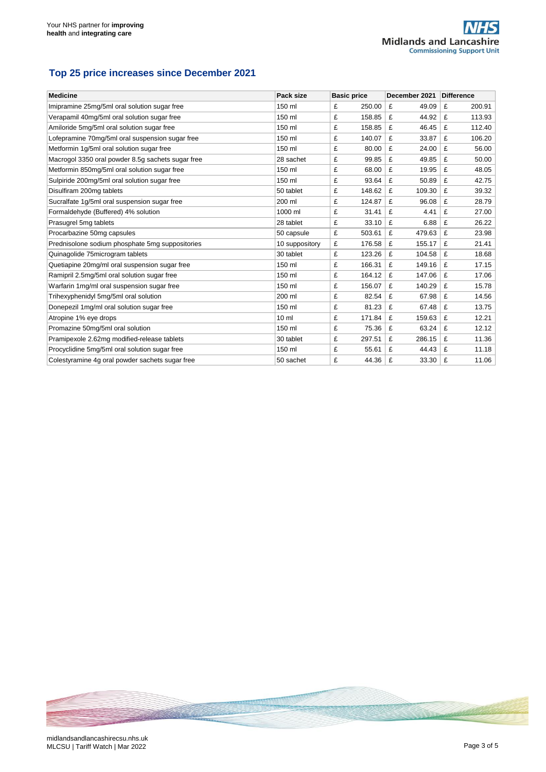#### **Top 25 price increases since December 2021**

| <b>Medicine</b>                                   | Pack size       |   | <b>Basic price</b> | December 2021 |      | <b>Difference</b> |
|---------------------------------------------------|-----------------|---|--------------------|---------------|------|-------------------|
| Imipramine 25mg/5ml oral solution sugar free      | 150 ml          | £ | 250.00             | £<br>49.09    |      | £<br>200.91       |
| Verapamil 40mg/5ml oral solution sugar free       | 150 ml          | £ | 158.85             | £<br>44.92    |      | 113.93<br>£       |
| Amiloride 5mg/5ml oral solution sugar free        | 150 ml          | £ | 158.85             | £<br>46.45    |      | £<br>112.40       |
| Lofepramine 70mg/5ml oral suspension sugar free   | 150 ml          | £ | 140.07             | £<br>33.87    |      | £<br>106.20       |
| Metformin 1q/5ml oral solution sugar free         | 150 ml          | £ | 80.00              | £<br>24.00    |      | £<br>56.00        |
| Macrogol 3350 oral powder 8.5g sachets sugar free | 28 sachet       | £ | 99.85              | £<br>49.85    |      | £<br>50.00        |
| Metformin 850mg/5ml oral solution sugar free      | 150 ml          | £ | 68.00              | £<br>19.95    |      | £<br>48.05        |
| Sulpiride 200mg/5ml oral solution sugar free      | 150 ml          | £ | 93.64              | £<br>50.89    |      | £<br>42.75        |
| Disulfiram 200mg tablets                          | 50 tablet       | £ | 148.62             | £<br>109.30   |      | £<br>39.32        |
| Sucralfate 1g/5ml oral suspension sugar free      | 200 ml          | £ | 124.87             | £<br>96.08    |      | £<br>28.79        |
| Formaldehyde (Buffered) 4% solution               | 1000 ml         | £ | 31.41              | £<br>4.41     |      | £<br>27.00        |
| Prasugrel 5mg tablets                             | 28 tablet       | £ | 33.10              | £             | 6.88 | £<br>26.22        |
| Procarbazine 50mg capsules                        | 50 capsule      | £ | 503.61             | £<br>479.63   |      | £<br>23.98        |
| Prednisolone sodium phosphate 5mg suppositories   | 10 suppository  | £ | 176.58             | £<br>155.17   |      | £<br>21.41        |
| Quinagolide 75microgram tablets                   | 30 tablet       | £ | 123.26             | £<br>104.58   |      | £<br>18.68        |
| Quetiapine 20mg/ml oral suspension sugar free     | 150 ml          | £ | 166.31             | £<br>149.16   |      | £<br>17.15        |
| Ramipril 2.5mg/5ml oral solution sugar free       | 150 ml          | £ | 164.12             | £<br>147.06   |      | £<br>17.06        |
| Warfarin 1mg/ml oral suspension sugar free        | 150 ml          | £ | 156.07             | £<br>140.29   |      | £<br>15.78        |
| Trihexyphenidyl 5mg/5ml oral solution             | 200 ml          | £ | 82.54              | £<br>67.98    |      | £<br>14.56        |
| Donepezil 1mg/ml oral solution sugar free         | 150 ml          | £ | 81.23              | £<br>67.48    |      | £<br>13.75        |
| Atropine 1% eye drops                             | 10 <sub>m</sub> | £ | 171.84             | £<br>159.63   |      | £<br>12.21        |
| Promazine 50mg/5ml oral solution                  | 150 ml          | £ | 75.36              | £<br>63.24    |      | £<br>12.12        |
| Pramipexole 2.62mg modified-release tablets       | 30 tablet       | £ | 297.51             | £<br>286.15   |      | £<br>11.36        |
| Procyclidine 5mg/5ml oral solution sugar free     | 150 ml          | £ | 55.61              | £<br>44.43    |      | £<br>11.18        |
| Colestyramine 4g oral powder sachets sugar free   | 50 sachet       | £ | 44.36              | £<br>33.30    |      | £<br>11.06        |

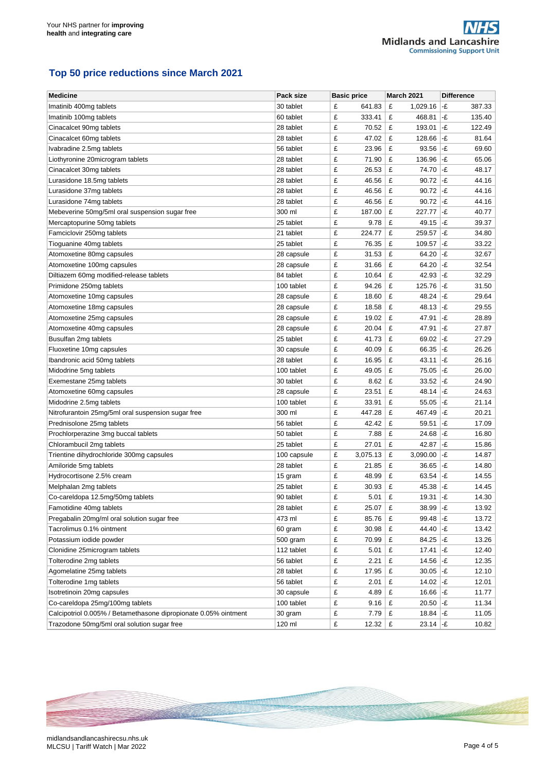## **Top 50 price reductions since March 2021**

| <b>Medicine</b>                                                 | Pack size   | <b>Basic price</b> | <b>March 2021</b> | <b>Difference</b>            |
|-----------------------------------------------------------------|-------------|--------------------|-------------------|------------------------------|
| Imatinib 400mg tablets                                          | 30 tablet   | £<br>641.83        | £<br>1,029.16     | -£<br>387.33                 |
| Imatinib 100mg tablets                                          | 60 tablet   | £<br>333.41        | £<br>468.81       | -£<br>135.40                 |
| Cinacalcet 90mg tablets                                         | 28 tablet   | £<br>70.52         | £<br>193.01       | -£<br>122.49                 |
| Cinacalcet 60mg tablets                                         | 28 tablet   | £<br>47.02         | £<br>128.66       | l-£<br>81.64                 |
| Ivabradine 2.5mg tablets                                        | 56 tablet   | £<br>23.96         | £<br>93.56        | -£<br>69.60                  |
| Liothyronine 20microgram tablets                                | 28 tablet   | £<br>71.90         | £<br>136.96       | -£<br>65.06                  |
| Cinacalcet 30mg tablets                                         | 28 tablet   | £<br>26.53         | £<br>74.70        | -£<br>48.17                  |
| Lurasidone 18.5mg tablets                                       | 28 tablet   | £<br>46.56         | £<br>90.72        | -£<br>44.16                  |
| Lurasidone 37mg tablets                                         | 28 tablet   | £<br>46.56         | £<br>90.72        | l-£<br>44.16                 |
| Lurasidone 74mg tablets                                         | 28 tablet   | £<br>46.56         | £<br>90.72        | $ \text{-}f $<br>44.16       |
| Mebeverine 50mg/5ml oral suspension sugar free                  | 300 ml      | £<br>187.00        | £<br>227.77       | -£<br>40.77                  |
| Mercaptopurine 50mg tablets                                     | 25 tablet   | £<br>9.78          | £<br>49.15        | l-£<br>39.37                 |
| Famciclovir 250mg tablets                                       | 21 tablet   | £<br>224.77        | £<br>259.57       | -£<br>34.80                  |
| Tioguanine 40mg tablets                                         | 25 tablet   | £<br>76.35         | £<br>109.57       | -£<br>33.22                  |
| Atomoxetine 80mg capsules                                       | 28 capsule  | £<br>31.53         | £<br>64.20        | -£<br>32.67                  |
| Atomoxetine 100mg capsules                                      | 28 capsule  | £<br>31.66         | £<br>64.20        | l-£<br>32.54                 |
| Diltiazem 60mg modified-release tablets                         | 84 tablet   | £<br>10.64         | £<br>42.93        | -£<br>32.29                  |
| Primidone 250mg tablets                                         | 100 tablet  | £<br>94.26         | £<br>125.76       | l-£<br>31.50                 |
| Atomoxetine 10mg capsules                                       | 28 capsule  | £<br>18.60         | £<br>48.24        | -£<br>29.64                  |
| Atomoxetine 18mg capsules                                       | 28 capsule  | £<br>18.58         | £<br>48.13        | -£<br>29.55                  |
| Atomoxetine 25mg capsules                                       | 28 capsule  | £<br>19.02         | £<br>47.91        | -£<br>28.89                  |
| Atomoxetine 40mg capsules                                       | 28 capsule  | £<br>20.04         | £<br>47.91        | -£<br>27.87                  |
| Busulfan 2mg tablets                                            | 25 tablet   | £<br>41.73         | £<br>69.02        | -£<br>27.29                  |
| Fluoxetine 10mg capsules                                        | 30 capsule  | £<br>40.09         | £<br>66.35        | l-£<br>26.26                 |
| Ibandronic acid 50mg tablets                                    | 28 tablet   | £<br>16.95         | £<br>43.11        | -£<br>26.16                  |
| Midodrine 5mg tablets                                           | 100 tablet  | £<br>49.05         | £<br>75.05        | -£<br>26.00                  |
| Exemestane 25mg tablets                                         | 30 tablet   | £<br>8.62          | £<br>33.52        | -£<br>24.90                  |
| Atomoxetine 60mg capsules                                       | 28 capsule  | £<br>23.51         | £<br>48.14        | -£<br>24.63                  |
| Midodrine 2.5mg tablets                                         | 100 tablet  | £<br>33.91         | £<br>55.05        | l-£<br>21.14                 |
| Nitrofurantoin 25mg/5ml oral suspension sugar free              | 300 ml      | £<br>447.28        | £<br>467.49       | -£<br>20.21                  |
| Prednisolone 25mg tablets                                       | 56 tablet   | £<br>42.42         | £<br>59.51        | -£<br>17.09                  |
| Prochlorperazine 3mg buccal tablets                             | 50 tablet   | £<br>7.88          | £<br>24.68        | -£<br>16.80                  |
| Chlorambucil 2mg tablets                                        | 25 tablet   | £<br>27.01         | £<br>42.87        | -£<br>15.86                  |
| Trientine dihydrochloride 300mg capsules                        | 100 capsule | £<br>3,075.13      | £<br>3,090.00     | -£<br>14.87                  |
| Amiloride 5mg tablets                                           | 28 tablet   | £<br>21.85         | £<br>36.65        | l-£<br>14.80                 |
| Hydrocortisone 2.5% cream                                       | 15 gram     | £<br>48.99         | £<br>63.54        | -£<br>14.55                  |
| Melphalan 2mg tablets                                           | 25 tablet   | £<br>30.93         | £<br>45.38        | -£<br>14.45                  |
| Co-careldopa 12.5mg/50mg tablets                                | 90 tablet   | £<br>5.01          | £<br>19.31        | -£<br>14.30                  |
| Famotidine 40mg tablets                                         | 28 tablet   | £<br>25.07         | £<br>38.99        | l-£<br>13.92                 |
| Pregabalin 20mg/ml oral solution sugar free                     | 473 ml      | £<br>85.76         | £<br>99.48        | -£<br>13.72                  |
| Tacrolimus 0.1% ointment                                        | 60 gram     | £<br>30.98         | £<br>44.40        | -£<br>13.42                  |
| Potassium iodide powder                                         | 500 gram    | £<br>70.99         | £<br>84.25        | $ \text{-}f $<br>13.26       |
| Clonidine 25microgram tablets                                   | 112 tablet  | £<br>5.01          | £<br>17.41        | l-£<br>12.40                 |
| Tolterodine 2mg tablets                                         | 56 tablet   | £<br>2.21          | £<br>14.56        | $ \text{-} \pounds$<br>12.35 |
| Agomelatine 25mg tablets                                        | 28 tablet   | £<br>17.95         | £<br>30.05        | -£<br>12.10                  |
| Tolterodine 1mg tablets                                         | 56 tablet   | £<br>2.01          | £<br>14.02        | $ \text{-}f$<br>12.01        |
| Isotretinoin 20mg capsules                                      | 30 capsule  | £<br>4.89          | £<br>16.66        | -£<br>11.77                  |
| Co-careldopa 25mg/100mg tablets                                 | 100 tablet  | £<br>9.16          | £<br>20.50        | $ \text{-}f $<br>11.34       |
| Calcipotriol 0.005% / Betamethasone dipropionate 0.05% ointment | 30 gram     | £<br>7.79          | $18.84$ -£<br>£   | 11.05                        |
| Trazodone 50mg/5ml oral solution sugar free                     | 120 ml      | £<br>12.32         | £<br>$23.14$ -£   | 10.82                        |